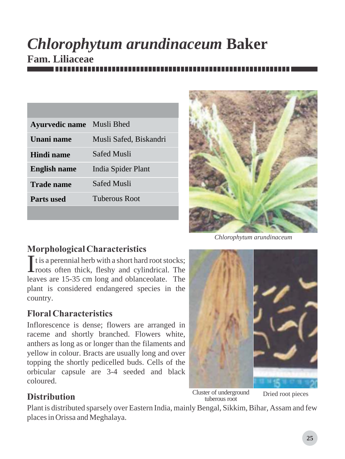# *Chlorophytum arundinaceum* **Baker Fam. Liliaceae**

| <b>Ayurvedic name</b> | Musli Bhed             |
|-----------------------|------------------------|
| Unani name            | Musli Safed, Biskandri |
| Hindi name            | <b>Safed Musli</b>     |
| <b>English name</b>   | India Spider Plant     |
| <b>Trade name</b>     | Safed Musli            |
| Parts used            | Tuberous Root          |
|                       |                        |



*Chlorophytum arundinaceum*

### *Morphological Characteristics*

It is a perennial herb with a short hard root stocks;<br>Iroots often thick, fleshy and cylindrical. The leaves are 15-35 cm long and oblanceolate. The plant is considered endangered species in the country.

### *Floral Characteristics*

Inflorescence is dense; flowers are arranged in raceme and shortly branched. Flowers white, anthers as long as or longer than the filaments and yellow in colour. Bracts are usually long and over topping the shortly pedicelled buds. Cells of the orbicular capsule are 3-4 seeded and black coloured.

Cluster of underground tuberous root

Dried root pieces

## *Distribution*

Plant is distributed sparsely over Eastern India, mainly Bengal, Sikkim, Bihar, Assam and few places in Orissa and Meghalaya.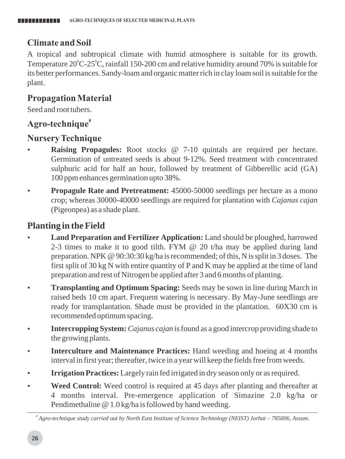#### *Climate and Soil*

A tropical and subtropical climate with humid atmosphere is suitable for its growth. Temperature  $20^{\circ}$ C-25 $^{\circ}$ C, rainfall 150-200 cm and relative humidity around 70% is suitable for its better performances. Sandy-loam and organic matter rich in clay loam soil is suitable for the plant.

#### *Propagation Material*

Seed and root tubers.

#### *<sup>8</sup> Agro-technique*

#### *Nursery Technique*

- **Raising Propagules:** Root stocks @ 7-10 quintals are required per hectare. Germination of untreated seeds is about 9-12%. Seed treatment with concentrated sulphuric acid for half an hour, followed by treatment of Gibberellic acid (GA) 100 ppm enhances germination upto 38%.
- **Propagule Rate and Pretreatment:** 45000-50000 seedlings per hectare as a mono crop; whereas 30000-40000 seedlings are required for plantation with *Cajanus cajan* (Pigeonpea) as a shade plant.

#### **Planting in the Field**

- **Land Preparation and Fertilizer Application:** Land should be ploughed, harrowed 2-3 times to make it to good tilth. FYM  $\omega$  20 t/ha may be applied during land preparation. NPK @ 90:30:30 kg/ha is recommended; of this, N is split in 3 doses. The first split of 30 kg N with entire quantity of P and K may be applied at the time of land preparation and rest of Nitrogen be applied after 3 and 6 months of planting.
- **Transplanting and Optimum Spacing:** Seeds may be sown in line during March in raised beds 10 cm apart. Frequent watering is necessary. By May-June seedlings are ready for transplantation. Shade must be provided in the plantation. 60X30 cm is recommended optimum spacing.
- **Intercropping System:** *Cajanus cajan* is found as a good intercrop providing shade to the growing plants.
- **Interculture and Maintenance Practices:** Hand weeding and hoeing at 4 months interval in first year; thereafter, twice in a year will keep the fields free from weeds.
- **Irrigation Practices:** Largely rain fed irrigated in dry season only or as required.
- **Weed Control:** Weed control is required at 45 days after planting and thereafter at 4 months interval. Pre-emergence application of Simazine 2.0 kg/ha or Pendimethaline @ 1.0 kg/ha is followed by hand weeding.

*<sup>8</sup> Agro-technique study carried out by North East Institute of Science Technology (NEIST) Jorhat – 785006, Assam.*